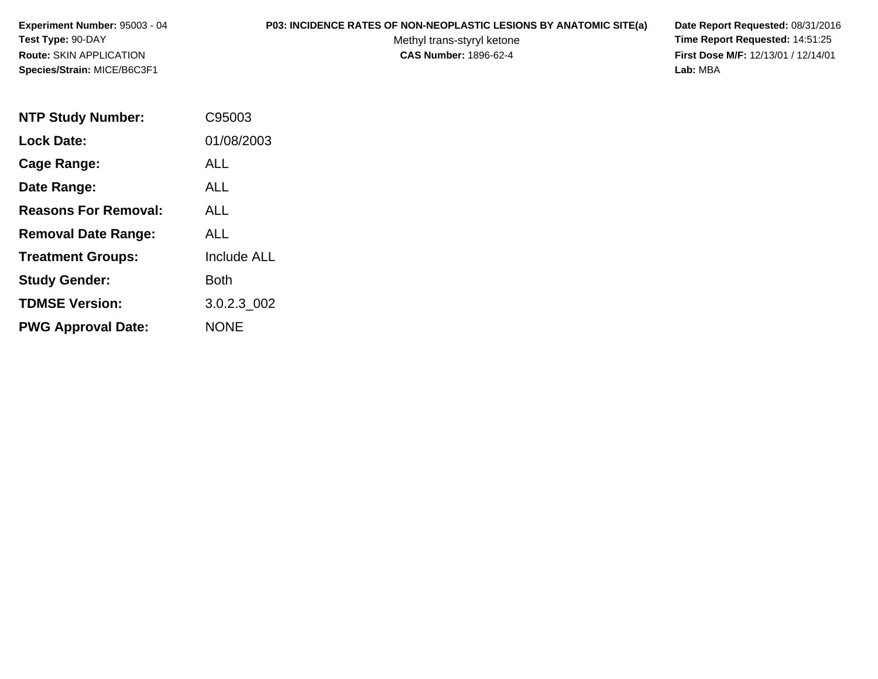**Experiment Number:** 95003 - 04**Test Type:** 90-DAY**Route:** SKIN APPLICATION**Species/Strain:** MICE/B6C3F1

## **P03: INCIDENCE RATES OF NON-NEOPLASTIC LESIONS BY ANATOMIC SITE(a) Date Report Requested:** 08/31/2016

Methyl trans-styryl ketone<br>CAS Number: 1896-62-4

 **Time Report Requested:** 14:51:25 **First Dose M/F:** 12/13/01 / 12/14/01<br>Lab: MBA **Lab:** MBA

| <b>NTP Study Number:</b>    | C95003             |
|-----------------------------|--------------------|
| <b>Lock Date:</b>           | 01/08/2003         |
| Cage Range:                 | ALL                |
| Date Range:                 | AI I               |
| <b>Reasons For Removal:</b> | ALL                |
| <b>Removal Date Range:</b>  | ALL                |
| <b>Treatment Groups:</b>    | <b>Include ALL</b> |
| <b>Study Gender:</b>        | Both               |
| <b>TDMSE Version:</b>       | 3.0.2.3_002        |
| <b>PWG Approval Date:</b>   | <b>NONE</b>        |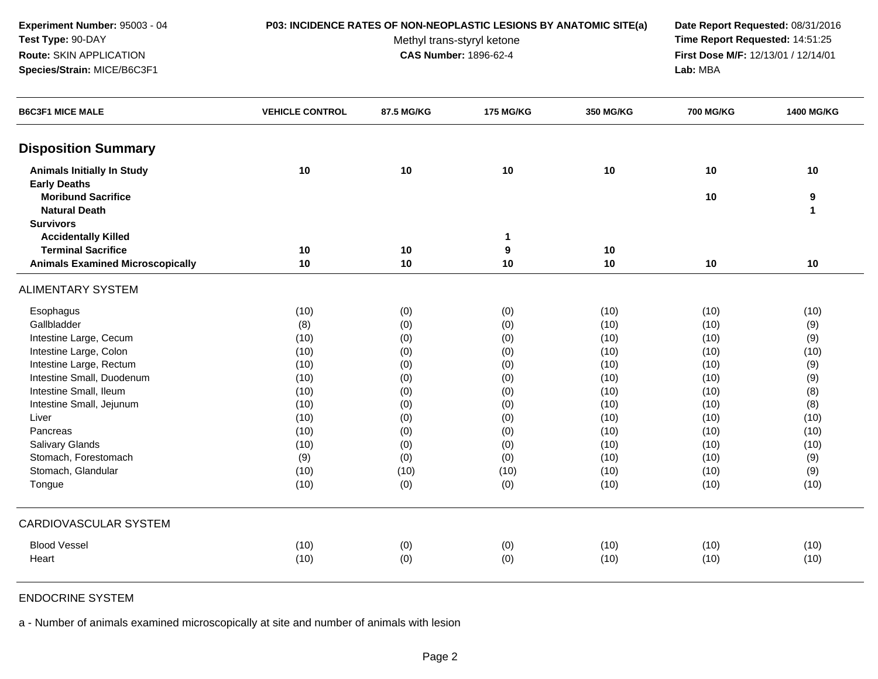**Experiment Number:** 95003 - 04**Test Type:** 90-DAY**Route:** SKIN APPLICATION**Species/Strain:** MICE/B6C3F1

## **P03: INCIDENCE RATES OF NON-NEOPLASTIC LESIONS BY ANATOMIC SITE(a) Date Report Requested:** 08/31/2016

Methyl trans-styryl ketone<br>CAS Number: 1896-62-4

 **Time Report Requested:** 14:51:25 **First Dose M/F:** 12/13/01 / 12/14/01<br>Lab: MBA **Lab:** MBA

| <b>B6C3F1 MICE MALE</b>                 | <b>VEHICLE CONTROL</b> | 87.5 MG/KG | <b>175 MG/KG</b> | 350 MG/KG | <b>700 MG/KG</b> | 1400 MG/KG   |
|-----------------------------------------|------------------------|------------|------------------|-----------|------------------|--------------|
| <b>Disposition Summary</b>              |                        |            |                  |           |                  |              |
| <b>Animals Initially In Study</b>       | 10                     | 10         | 10               | 10        | 10               | 10           |
| <b>Early Deaths</b>                     |                        |            |                  |           |                  |              |
| <b>Moribund Sacrifice</b>               |                        |            |                  |           | 10               | 9            |
| <b>Natural Death</b>                    |                        |            |                  |           |                  | $\mathbf{1}$ |
| <b>Survivors</b>                        |                        |            |                  |           |                  |              |
| <b>Accidentally Killed</b>              |                        |            | $\mathbf{1}$     |           |                  |              |
| <b>Terminal Sacrifice</b>               | 10                     | 10         | 9                | 10        |                  |              |
| <b>Animals Examined Microscopically</b> | 10                     | 10         | 10               | 10        | 10               | 10           |
| <b>ALIMENTARY SYSTEM</b>                |                        |            |                  |           |                  |              |
| Esophagus                               | (10)                   | (0)        | (0)              | (10)      | (10)             | (10)         |
| Gallbladder                             | (8)                    | (0)        | (0)              | (10)      | (10)             | (9)          |
| Intestine Large, Cecum                  | (10)                   | (0)        | (0)              | (10)      | (10)             | (9)          |
| Intestine Large, Colon                  | (10)                   | (0)        | (0)              | (10)      | (10)             | (10)         |
| Intestine Large, Rectum                 | (10)                   | (0)        | (0)              | (10)      | (10)             | (9)          |
| Intestine Small, Duodenum               | (10)                   | (0)        | (0)              | (10)      | (10)             | (9)          |
| Intestine Small, Ileum                  | (10)                   | (0)        | (0)              | (10)      | (10)             | (8)          |
| Intestine Small, Jejunum                | (10)                   | (0)        | (0)              | (10)      | (10)             | (8)          |
| Liver                                   | (10)                   | (0)        | (0)              | (10)      | (10)             | (10)         |
| Pancreas                                | (10)                   | (0)        | (0)              | (10)      | (10)             | (10)         |
| Salivary Glands                         | (10)                   | (0)        | (0)              | (10)      | (10)             | (10)         |
| Stomach, Forestomach                    | (9)                    | (0)        | (0)              | (10)      | (10)             | (9)          |
| Stomach, Glandular                      | (10)                   | (10)       | (10)             | (10)      | (10)             | (9)          |
| Tongue                                  | (10)                   | (0)        | (0)              | (10)      | (10)             | (10)         |
| CARDIOVASCULAR SYSTEM                   |                        |            |                  |           |                  |              |
| <b>Blood Vessel</b>                     | (10)                   | (0)        | (0)              | (10)      | (10)             | (10)         |
| Heart                                   | (10)                   | (0)        | (0)              | (10)      | (10)             | (10)         |

## ENDOCRINE SYSTEM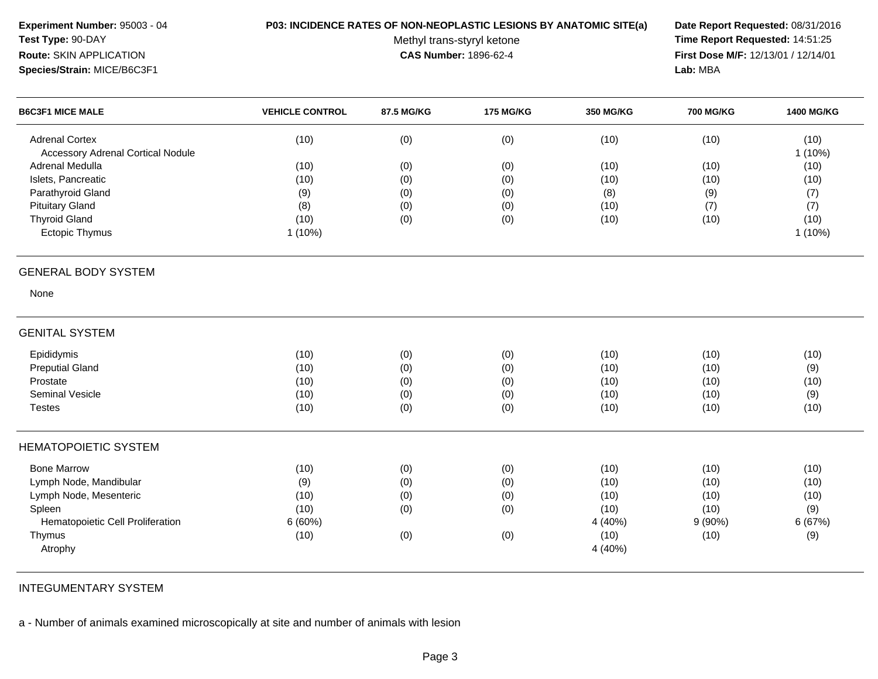| Experiment Number: 95003 - 04<br>Test Type: 90-DAY<br>Route: SKIN APPLICATION<br>Species/Strain: MICE/B6C3F1 | P03: INCIDENCE RATES OF NON-NEOPLASTIC LESIONS BY ANATOMIC SITE(a) | Methyl trans-styryl ketone<br><b>CAS Number: 1896-62-4</b> | Date Report Requested: 08/31/2016<br>Time Report Requested: 14:51:25<br>First Dose M/F: 12/13/01 / 12/14/01<br>Lab: MBA |                  |                  |                   |
|--------------------------------------------------------------------------------------------------------------|--------------------------------------------------------------------|------------------------------------------------------------|-------------------------------------------------------------------------------------------------------------------------|------------------|------------------|-------------------|
| <b>B6C3F1 MICE MALE</b>                                                                                      | <b>VEHICLE CONTROL</b>                                             | 87.5 MG/KG                                                 | <b>175 MG/KG</b>                                                                                                        | <b>350 MG/KG</b> | <b>700 MG/KG</b> | <b>1400 MG/KG</b> |
| <b>Adrenal Cortex</b><br><b>Accessory Adrenal Cortical Nodule</b>                                            | (10)                                                               | (0)                                                        | (0)                                                                                                                     | (10)             | (10)             | (10)<br>$1(10\%)$ |
| Adrenal Medulla                                                                                              | (10)                                                               | (0)                                                        | (0)                                                                                                                     | (10)             | (10)             | (10)              |
| Islets, Pancreatic<br>Parathyroid Gland                                                                      | (10)                                                               | (0)                                                        | (0)                                                                                                                     | (10)             | (10)             | (10)              |
| <b>Pituitary Gland</b>                                                                                       | (9)<br>(8)                                                         | (0)                                                        | (0)<br>(0)                                                                                                              | (8)<br>(10)      | (9)              | (7)               |
| <b>Thyroid Gland</b>                                                                                         | (10)                                                               | (0)<br>(0)                                                 | (0)                                                                                                                     | (10)             | (7)<br>(10)      | (7)<br>(10)       |
| Ectopic Thymus                                                                                               | $1(10\%)$                                                          |                                                            |                                                                                                                         |                  |                  | $1(10\%)$         |
| <b>GENERAL BODY SYSTEM</b>                                                                                   |                                                                    |                                                            |                                                                                                                         |                  |                  |                   |
| None                                                                                                         |                                                                    |                                                            |                                                                                                                         |                  |                  |                   |
| <b>GENITAL SYSTEM</b>                                                                                        |                                                                    |                                                            |                                                                                                                         |                  |                  |                   |
| Epididymis                                                                                                   | (10)                                                               | (0)                                                        | (0)                                                                                                                     | (10)             | (10)             | (10)              |
| <b>Preputial Gland</b>                                                                                       | (10)                                                               | (0)                                                        | (0)                                                                                                                     | (10)             | (10)             | (9)               |
| Prostate                                                                                                     | (10)                                                               | (0)                                                        | (0)                                                                                                                     | (10)             | (10)             | (10)              |
| Seminal Vesicle                                                                                              | (10)                                                               | (0)                                                        | (0)                                                                                                                     | (10)             | (10)             | (9)               |
| <b>Testes</b>                                                                                                | (10)                                                               | (0)                                                        | (0)                                                                                                                     | (10)             | (10)             | (10)              |
| <b>HEMATOPOIETIC SYSTEM</b>                                                                                  |                                                                    |                                                            |                                                                                                                         |                  |                  |                   |
| <b>Bone Marrow</b>                                                                                           | (10)                                                               | (0)                                                        | (0)                                                                                                                     | (10)             | (10)             | (10)              |
| Lymph Node, Mandibular                                                                                       | (9)                                                                | (0)                                                        | (0)                                                                                                                     | (10)             | (10)             | (10)              |
| Lymph Node, Mesenteric                                                                                       | (10)                                                               | (0)                                                        | (0)                                                                                                                     | (10)             | (10)             | (10)              |
| Spleen                                                                                                       | (10)                                                               | (0)                                                        | (0)                                                                                                                     | (10)             | (10)             | (9)               |
| Hematopoietic Cell Proliferation                                                                             | 6(60%)                                                             |                                                            |                                                                                                                         | 4 (40%)          | $9(90\%)$        | 6 (67%)           |
| Thymus                                                                                                       | (10)                                                               | (0)                                                        | (0)                                                                                                                     | (10)             | (10)             | (9)               |
| Atrophy                                                                                                      |                                                                    |                                                            |                                                                                                                         | 4 (40%)          |                  |                   |
|                                                                                                              |                                                                    |                                                            |                                                                                                                         |                  |                  |                   |

INTEGUMENTARY SYSTEM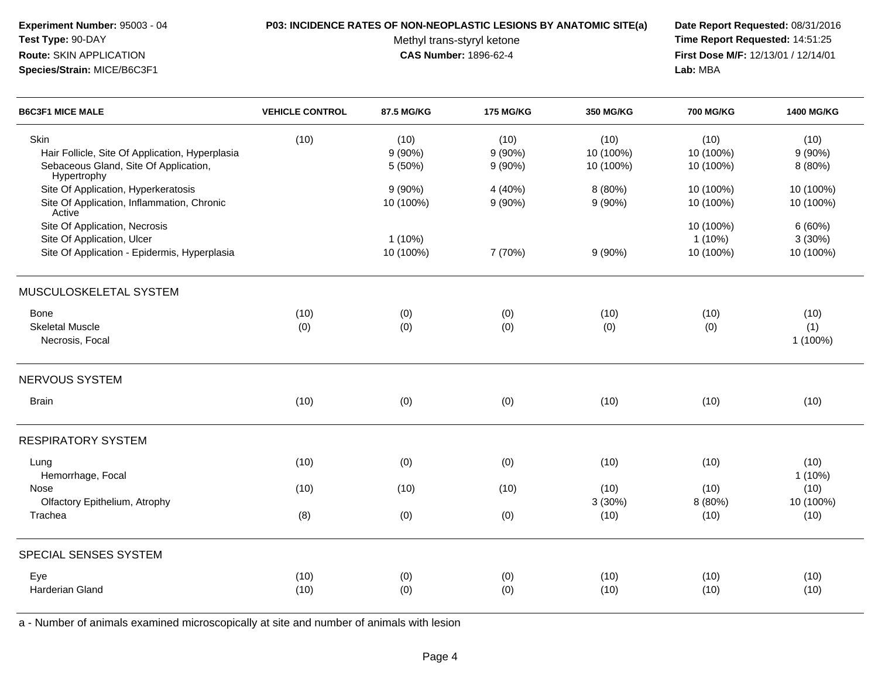| Test Type: 90-DAY<br>Route: SKIN APPLICATION<br>Species/Strain: MICE/B6C3F1                                     |                        | Methyl trans-styryl ketone<br><b>CAS Number: 1896-62-4</b> | Time Report Requested: 14:51:25<br>First Dose M/F: 12/13/01 / 12/14/01<br>Lab: MBA |                                |                                     |                               |
|-----------------------------------------------------------------------------------------------------------------|------------------------|------------------------------------------------------------|------------------------------------------------------------------------------------|--------------------------------|-------------------------------------|-------------------------------|
| <b>B6C3F1 MICE MALE</b>                                                                                         | <b>VEHICLE CONTROL</b> | 87.5 MG/KG                                                 | <b>175 MG/KG</b>                                                                   | <b>350 MG/KG</b>               | <b>700 MG/KG</b>                    | <b>1400 MG/KG</b>             |
| Skin<br>Hair Follicle, Site Of Application, Hyperplasia<br>Sebaceous Gland, Site Of Application,<br>Hypertrophy | (10)                   | (10)<br>$9(90\%)$<br>5 (50%)                               | (10)<br>$9(90\%)$<br>9(90%)                                                        | (10)<br>10 (100%)<br>10 (100%) | (10)<br>10 (100%)<br>10 (100%)      | (10)<br>9(90%)<br>8 (80%)     |
| Site Of Application, Hyperkeratosis<br>Site Of Application, Inflammation, Chronic<br>Active                     |                        | $9(90\%)$<br>10 (100%)                                     | 4 (40%)<br>9(90%)                                                                  | 8 (80%)<br>$9(90\%)$           | 10 (100%)<br>10 (100%)              | 10 (100%)<br>10 (100%)        |
| Site Of Application, Necrosis<br>Site Of Application, Ulcer<br>Site Of Application - Epidermis, Hyperplasia     |                        | $1(10\%)$<br>10 (100%)                                     | 7 (70%)                                                                            | $9(90\%)$                      | 10 (100%)<br>$1(10\%)$<br>10 (100%) | 6(60%)<br>3(30%)<br>10 (100%) |
| MUSCULOSKELETAL SYSTEM                                                                                          |                        |                                                            |                                                                                    |                                |                                     |                               |
| Bone<br><b>Skeletal Muscle</b><br>Necrosis, Focal                                                               | (10)<br>(0)            | (0)<br>(0)                                                 | (0)<br>(0)                                                                         | (10)<br>(0)                    | (10)<br>(0)                         | (10)<br>(1)<br>1 (100%)       |
| NERVOUS SYSTEM                                                                                                  |                        |                                                            |                                                                                    |                                |                                     |                               |
| <b>Brain</b>                                                                                                    | (10)                   | (0)                                                        | (0)                                                                                | (10)                           | (10)                                | (10)                          |
| <b>RESPIRATORY SYSTEM</b>                                                                                       |                        |                                                            |                                                                                    |                                |                                     |                               |
| Lung<br>Hemorrhage, Focal                                                                                       | (10)                   | (0)                                                        | (0)                                                                                | (10)                           | (10)                                | (10)<br>$1(10\%)$             |
| Nose<br>Olfactory Epithelium, Atrophy                                                                           | (10)                   | (10)                                                       | (10)                                                                               | (10)<br>3(30%)                 | (10)<br>8 (80%)                     | (10)<br>10 (100%)             |
| Trachea                                                                                                         | (8)                    | (0)                                                        | (0)                                                                                | (10)                           | (10)                                | (10)                          |
| SPECIAL SENSES SYSTEM                                                                                           |                        |                                                            |                                                                                    |                                |                                     |                               |
| Eye                                                                                                             | (10)                   | (0)                                                        | (0)                                                                                | (10)                           | (10)                                | (10)                          |

**P03: INCIDENCE RATES OF NON-NEOPLASTIC LESIONS BY ANATOMIC SITE(a) Date Report Requested:** 08/31/2016

a - Number of animals examined microscopically at site and number of animals with lesion

Harderian Gland

**Experiment Number:** 95003 - 04

(10) (0) (0) (10) (10) (10)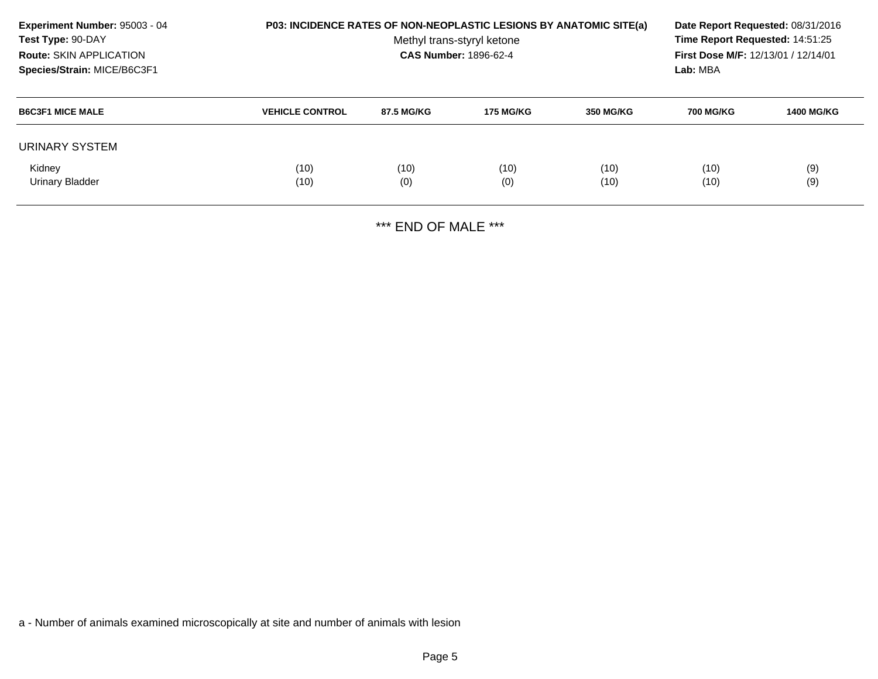| <b>Experiment Number: 95003 - 04</b><br>Test Type: 90-DAY<br><b>Route: SKIN APPLICATION</b><br>Species/Strain: MICE/B6C3F1 | <b>P03: INCIDENCE RATES OF NON-NEOPLASTIC LESIONS BY ANATOMIC SITE(a)</b> | Date Report Requested: 08/31/2016<br>Time Report Requested: 14:51:25<br><b>First Dose M/F: 12/13/01 / 12/14/01</b><br>Lab: MBA |                  |                  |                  |                   |
|----------------------------------------------------------------------------------------------------------------------------|---------------------------------------------------------------------------|--------------------------------------------------------------------------------------------------------------------------------|------------------|------------------|------------------|-------------------|
| <b>B6C3F1 MICE MALE</b>                                                                                                    | <b>VEHICLE CONTROL</b>                                                    | 87.5 MG/KG                                                                                                                     | <b>175 MG/KG</b> | <b>350 MG/KG</b> | <b>700 MG/KG</b> | <b>1400 MG/KG</b> |
| URINARY SYSTEM                                                                                                             |                                                                           |                                                                                                                                |                  |                  |                  |                   |
| Kidney<br>Urinary Bladder                                                                                                  | (10)<br>(10)                                                              | (10)<br>(0)                                                                                                                    | (10)<br>(0)      | (10)<br>(10)     | (10)<br>(10)     | (9)<br>(9)        |

\*\*\* END OF MALE \*\*\*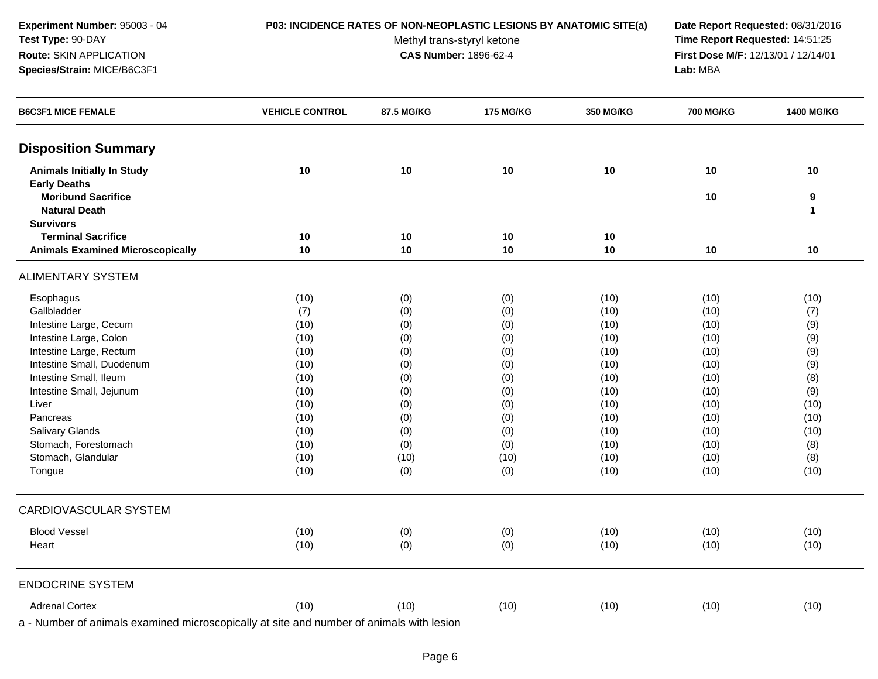**Experiment Number:** 95003 - 04**Test Type:** 90-DAY**Route:** SKIN APPLICATION**Species/Strain:** MICE/B6C3F1

## **P03: INCIDENCE RATES OF NON-NEOPLASTIC LESIONS BY ANATOMIC SITE(a) Date Report Requested:** 08/31/2016

Methyl trans-styryl ketone<br>CAS Number: 1896-62-4

 **Time Report Requested:** 14:51:25 **First Dose M/F:** 12/13/01 / 12/14/01<br>Lab: MBA **Lab:** MBA

| <b>B6C3F1 MICE FEMALE</b>               | <b>VEHICLE CONTROL</b> | 87.5 MG/KG | <b>175 MG/KG</b> | 350 MG/KG | <b>700 MG/KG</b> | 1400 MG/KG   |
|-----------------------------------------|------------------------|------------|------------------|-----------|------------------|--------------|
| <b>Disposition Summary</b>              |                        |            |                  |           |                  |              |
| <b>Animals Initially In Study</b>       | 10                     | 10         | 10               | 10        | 10               | 10           |
| <b>Early Deaths</b>                     |                        |            |                  |           |                  |              |
| <b>Moribund Sacrifice</b>               |                        |            |                  |           | 10               | 9            |
| <b>Natural Death</b>                    |                        |            |                  |           |                  | $\mathbf{1}$ |
| <b>Survivors</b>                        |                        |            |                  |           |                  |              |
| <b>Terminal Sacrifice</b>               | 10                     | 10         | 10               | 10        |                  |              |
| <b>Animals Examined Microscopically</b> | 10                     | 10         | 10               | 10        | 10               | 10           |
| <b>ALIMENTARY SYSTEM</b>                |                        |            |                  |           |                  |              |
| Esophagus                               | (10)                   | (0)        | (0)              | (10)      | (10)             | (10)         |
| Gallbladder                             | (7)                    | (0)        | (0)              | (10)      | (10)             | (7)          |
| Intestine Large, Cecum                  | (10)                   | (0)        | (0)              | (10)      | (10)             | (9)          |
| Intestine Large, Colon                  | (10)                   | (0)        | (0)              | (10)      | (10)             | (9)          |
| Intestine Large, Rectum                 | (10)                   | (0)        | (0)              | (10)      | (10)             | (9)          |
| Intestine Small, Duodenum               | (10)                   | (0)        | (0)              | (10)      | (10)             | (9)          |
| Intestine Small, Ileum                  | (10)                   | (0)        | (0)              | (10)      | (10)             | (8)          |
| Intestine Small, Jejunum                | (10)                   | (0)        | (0)              | (10)      | (10)             | (9)          |
| Liver                                   | (10)                   | (0)        | (0)              | (10)      | (10)             | (10)         |
| Pancreas                                | (10)                   | (0)        | (0)              | (10)      | (10)             | (10)         |
| Salivary Glands                         | (10)                   | (0)        | (0)              | (10)      | (10)             | (10)         |
| Stomach, Forestomach                    | (10)                   | (0)        | (0)              | (10)      | (10)             | (8)          |
| Stomach, Glandular                      | (10)                   | (10)       | (10)             | (10)      | (10)             | (8)          |
| Tongue                                  | (10)                   | (0)        | (0)              | (10)      | (10)             | (10)         |
| CARDIOVASCULAR SYSTEM                   |                        |            |                  |           |                  |              |
| <b>Blood Vessel</b>                     | (10)                   | (0)        | (0)              | (10)      | (10)             | (10)         |
| Heart                                   | (10)                   | (0)        | (0)              | (10)      | (10)             | (10)         |
| <b>ENDOCRINE SYSTEM</b>                 |                        |            |                  |           |                  |              |
| <b>Adrenal Cortex</b>                   | (10)                   | (10)       | (10)             | (10)      | (10)             | (10)         |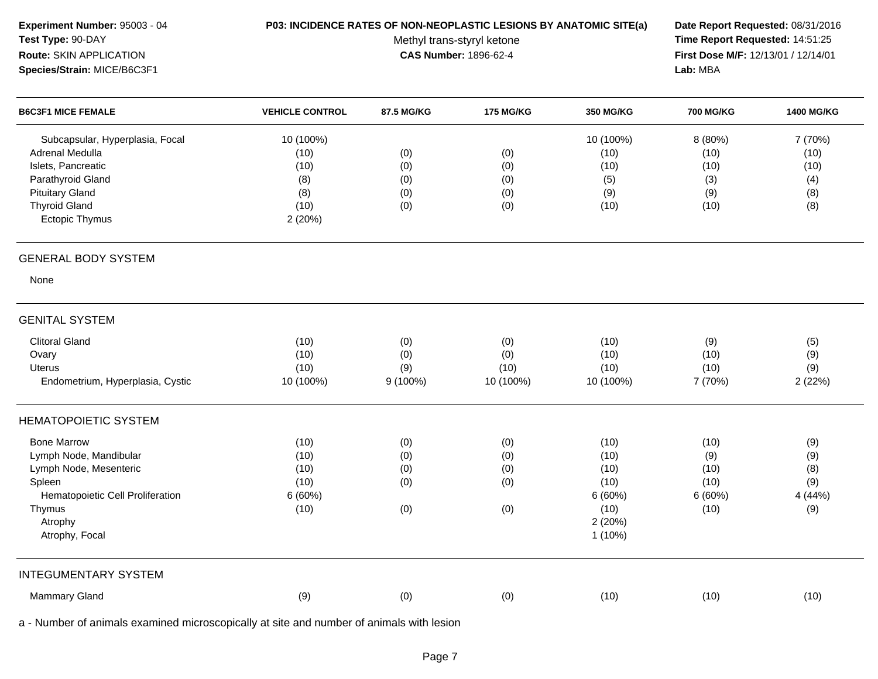| Experiment Number: 95003 - 04<br>Test Type: 90-DAY<br>Route: SKIN APPLICATION<br>Species/Strain: MICE/B6C3F1                                                                    | P03: INCIDENCE RATES OF NON-NEOPLASTIC LESIONS BY ANATOMIC SITE(a) | Methyl trans-styryl ketone<br><b>CAS Number: 1896-62-4</b> | Date Report Requested: 08/31/2016<br>Time Report Requested: 14:51:25<br>First Dose M/F: 12/13/01 / 12/14/01<br>Lab: MBA |                                                                     |                                               |                                              |
|---------------------------------------------------------------------------------------------------------------------------------------------------------------------------------|--------------------------------------------------------------------|------------------------------------------------------------|-------------------------------------------------------------------------------------------------------------------------|---------------------------------------------------------------------|-----------------------------------------------|----------------------------------------------|
| <b>B6C3F1 MICE FEMALE</b>                                                                                                                                                       | <b>VEHICLE CONTROL</b>                                             | 87.5 MG/KG                                                 | <b>175 MG/KG</b>                                                                                                        | 350 MG/KG                                                           | <b>700 MG/KG</b>                              | <b>1400 MG/KG</b>                            |
| Subcapsular, Hyperplasia, Focal<br><b>Adrenal Medulla</b><br>Islets, Pancreatic<br>Parathyroid Gland<br><b>Pituitary Gland</b><br><b>Thyroid Gland</b><br><b>Ectopic Thymus</b> | 10 (100%)<br>(10)<br>(10)<br>(8)<br>(8)<br>(10)<br>2(20%)          | (0)<br>(0)<br>(0)<br>(0)<br>(0)                            | (0)<br>(0)<br>(0)<br>(0)<br>(0)                                                                                         | 10 (100%)<br>(10)<br>(10)<br>(5)<br>(9)<br>(10)                     | 8 (80%)<br>(10)<br>(10)<br>(3)<br>(9)<br>(10) | 7 (70%)<br>(10)<br>(10)<br>(4)<br>(8)<br>(8) |
| <b>GENERAL BODY SYSTEM</b>                                                                                                                                                      |                                                                    |                                                            |                                                                                                                         |                                                                     |                                               |                                              |
| None                                                                                                                                                                            |                                                                    |                                                            |                                                                                                                         |                                                                     |                                               |                                              |
| <b>GENITAL SYSTEM</b>                                                                                                                                                           |                                                                    |                                                            |                                                                                                                         |                                                                     |                                               |                                              |
| <b>Clitoral Gland</b><br>Ovary<br>Uterus<br>Endometrium, Hyperplasia, Cystic                                                                                                    | (10)<br>(10)<br>(10)<br>10 (100%)                                  | (0)<br>(0)<br>(9)<br>$9(100\%)$                            | (0)<br>(0)<br>(10)<br>10 (100%)                                                                                         | (10)<br>(10)<br>(10)<br>10 (100%)                                   | (9)<br>(10)<br>(10)<br>7 (70%)                | (5)<br>(9)<br>(9)<br>2(22%)                  |
| <b>HEMATOPOIETIC SYSTEM</b>                                                                                                                                                     |                                                                    |                                                            |                                                                                                                         |                                                                     |                                               |                                              |
| <b>Bone Marrow</b><br>Lymph Node, Mandibular<br>Lymph Node, Mesenteric<br>Spleen<br>Hematopoietic Cell Proliferation<br>Thymus<br>Atrophy<br>Atrophy, Focal                     | (10)<br>(10)<br>(10)<br>(10)<br>6(60%)<br>(10)                     | (0)<br>(0)<br>(0)<br>(0)<br>(0)                            | (0)<br>(0)<br>(0)<br>(0)<br>(0)                                                                                         | (10)<br>(10)<br>(10)<br>(10)<br>6(60%)<br>(10)<br>2(20%)<br>1 (10%) | (10)<br>(9)<br>(10)<br>(10)<br>6(60%)<br>(10) | (9)<br>(9)<br>(8)<br>(9)<br>4 (44%)<br>(9)   |
| <b>INTEGUMENTARY SYSTEM</b>                                                                                                                                                     |                                                                    |                                                            |                                                                                                                         |                                                                     |                                               |                                              |
| <b>Mammary Gland</b>                                                                                                                                                            | (9)                                                                | (0)                                                        | (0)                                                                                                                     | (10)                                                                | (10)                                          | (10)                                         |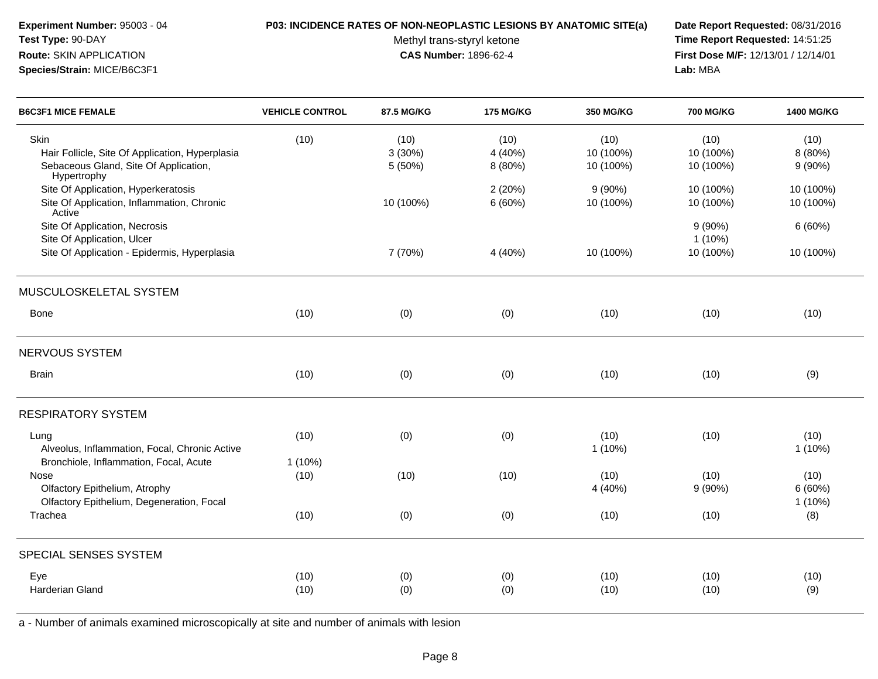| Experiment Number: 95003 - 04<br><b>Test Type: 90-DAY</b>     | <b>P03: INCIDENCE RATES OF NON-NEOPLASTIC LESIONS BY ANATOMIC SITE(a)</b> | Methyl trans-styryl ketone   |          |               | Date Report Requested: 08/31/2016<br>Time Report Requested: 14:51:25 |                                            |
|---------------------------------------------------------------|---------------------------------------------------------------------------|------------------------------|----------|---------------|----------------------------------------------------------------------|--------------------------------------------|
| <b>Route: SKIN APPLICATION</b><br>Species/Strain: MICE/B6C3F1 |                                                                           | <b>CAS Number: 1896-62-4</b> |          |               |                                                                      | <b>First Dose M/F: 12/13/01 / 12/14/01</b> |
| <b>BAGAE4 MIGE FEMILE</b>                                     |                                                                           | 07.5100178                   | 17730000 | $0.50$ $1.00$ | 700 B0000                                                            | 1.100.110.0170                             |

| (10) | (10)                              | (10)               | (10)               | (10)                                         | (10)                           |
|------|-----------------------------------|--------------------|--------------------|----------------------------------------------|--------------------------------|
|      | 3(30%)                            | 4 (40%)            | 10 (100%)          | 10 (100%)                                    | 8 (80%)                        |
|      | 5 (50%)                           | 8 (80%)            | 10 (100%)          | 10 (100%)                                    | $9(90\%)$                      |
|      |                                   | 2(20%)             | 9(90%)             | 10 (100%)                                    | 10 (100%)                      |
|      | 10 (100%)                         | 6(60%)             | 10 (100%)          | 10 (100%)                                    | 10 (100%)                      |
|      |                                   |                    |                    | $9(90\%)$                                    | 6(60%)                         |
|      |                                   |                    |                    | $1(10\%)$                                    |                                |
|      | 7 (70%)                           | 4 (40%)            | 10 (100%)          | 10 (100%)                                    | 10 (100%)                      |
|      |                                   |                    |                    |                                              |                                |
| (10) | (0)                               | (0)                | (10)               | (10)                                         | (10)                           |
|      |                                   |                    |                    |                                              |                                |
| (10) | (0)                               | (0)                | (10)               | (10)                                         | (9)                            |
|      |                                   |                    |                    |                                              |                                |
|      |                                   |                    |                    |                                              | (10)                           |
|      |                                   |                    |                    |                                              | 1 (10%)                        |
|      |                                   |                    |                    |                                              |                                |
|      |                                   |                    |                    |                                              | (10)                           |
|      |                                   |                    |                    |                                              | 6(60%)                         |
|      |                                   |                    |                    |                                              | 1 (10%)                        |
| (10) | (0)                               | (0)                | (10)               | (10)                                         | (8)                            |
|      |                                   |                    |                    |                                              |                                |
|      |                                   |                    |                    |                                              | (10)                           |
| (10) | (0)                               |                    |                    |                                              | (9)                            |
|      | (10)<br>$1(10\%)$<br>(10)<br>(10) | (0)<br>(10)<br>(0) | (0)<br>(10)<br>(0) | (10)<br>$1(10\%)$<br>(10)<br>4 (40%)<br>(10) | (10)<br>(10)<br>9(90%)<br>(10) |